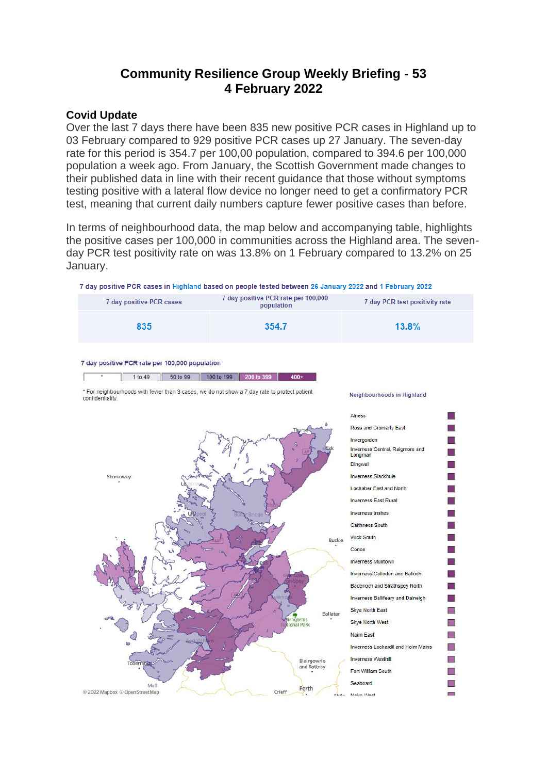# **Community Resilience Group Weekly Briefing - 53 4 February 2022**

#### **Covid Update**

Over the last 7 days there have been 835 new positive PCR cases in Highland up to 03 February compared to 929 positive PCR cases up 27 January. The seven-day rate for this period is 354.7 per 100,00 population, compared to 394.6 per 100,000 population a week ago. From January, the Scottish Government made changes to their published data in line with their recent guidance that those without symptoms testing positive with a lateral flow device no longer need to get a confirmatory PCR test, meaning that current daily numbers capture fewer positive cases than before.

In terms of neighbourhood data, the map below and accompanying table, highlights the positive cases per 100,000 in communities across the Highland area. The sevenday PCR test positivity rate on was 13.8% on 1 February compared to 13.2% on 25 January.

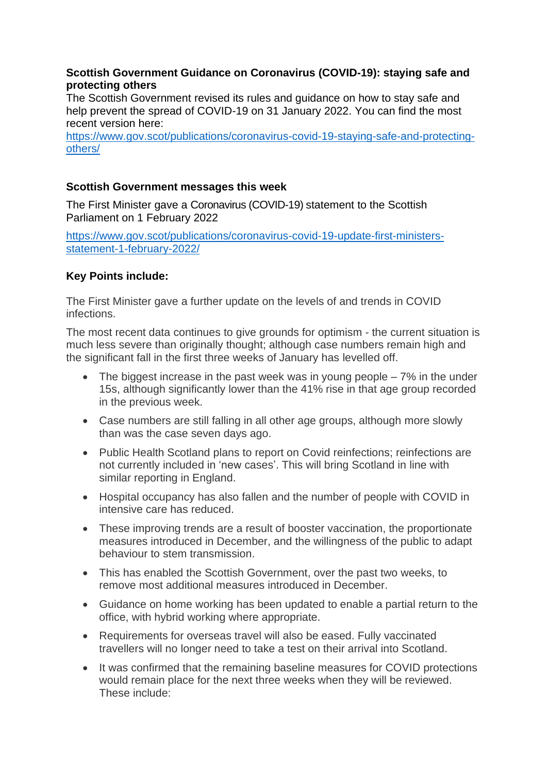#### **Scottish Government Guidance on Coronavirus (COVID-19): staying safe and protecting others**

The Scottish Government revised its rules and guidance on how to stay safe and help prevent the spread of COVID-19 on 31 January 2022. You can find the most recent version here:

[https://www.gov.scot/publications/coronavirus-covid-19-staying-safe-and-protecting](https://www.gov.scot/publications/coronavirus-covid-19-staying-safe-and-protecting-others/)[others/](https://www.gov.scot/publications/coronavirus-covid-19-staying-safe-and-protecting-others/)

# **Scottish Government messages this week**

The First Minister gave a Coronavirus (COVID-19) statement to the Scottish Parliament on 1 February 2022

[https://www.gov.scot/publications/coronavirus-covid-19-update-first-ministers](https://www.gov.scot/publications/coronavirus-covid-19-update-first-ministers-statement-1-february-2022/)[statement-1-february-2022/](https://www.gov.scot/publications/coronavirus-covid-19-update-first-ministers-statement-1-february-2022/)

# **Key Points include:**

The First Minister gave a further update on the levels of and trends in COVID infections.

The most recent data continues to give grounds for optimism - the current situation is much less severe than originally thought; although case numbers remain high and the significant fall in the first three weeks of January has levelled off.

- The biggest increase in the past week was in young people  $-7\%$  in the under 15s, although significantly lower than the 41% rise in that age group recorded in the previous week.
- Case numbers are still falling in all other age groups, although more slowly than was the case seven days ago.
- Public Health Scotland plans to report on Covid reinfections; reinfections are not currently included in 'new cases'. This will bring Scotland in line with similar reporting in England.
- Hospital occupancy has also fallen and the number of people with COVID in intensive care has reduced.
- These improving trends are a result of booster vaccination, the proportionate measures introduced in December, and the willingness of the public to adapt behaviour to stem transmission.
- This has enabled the Scottish Government, over the past two weeks, to remove most additional measures introduced in December.
- Guidance on home working has been updated to enable a partial return to the office, with hybrid working where appropriate.
- Requirements for overseas travel will also be eased. Fully vaccinated travellers will no longer need to take a test on their arrival into Scotland.
- It was confirmed that the remaining baseline measures for COVID protections would remain place for the next three weeks when they will be reviewed. These include: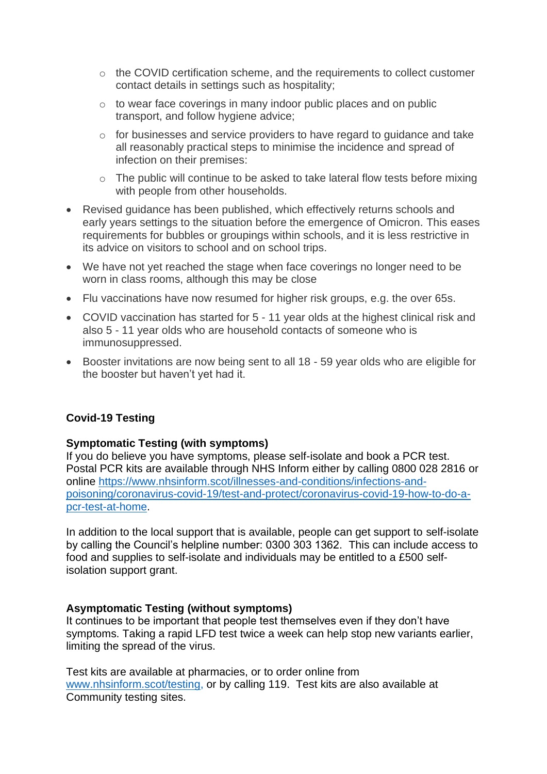- o the COVID certification scheme, and the requirements to collect customer contact details in settings such as hospitality;
- o to wear face coverings in many indoor public places and on public transport, and follow hygiene advice;
- o for businesses and service providers to have regard to guidance and take all reasonably practical steps to minimise the incidence and spread of infection on their premises:
- o The public will continue to be asked to take lateral flow tests before mixing with people from other households.
- Revised guidance has been published, which effectively returns schools and early years settings to the situation before the emergence of Omicron. This eases requirements for bubbles or groupings within schools, and it is less restrictive in its advice on visitors to school and on school trips.
- We have not yet reached the stage when face coverings no longer need to be worn in class rooms, although this may be close
- Flu vaccinations have now resumed for higher risk groups, e.g. the over 65s.
- COVID vaccination has started for 5 11 year olds at the highest clinical risk and also 5 - 11 year olds who are household contacts of someone who is immunosuppressed.
- Booster invitations are now being sent to all 18 59 year olds who are eligible for the booster but haven't yet had it.

# **Covid-19 Testing**

#### **Symptomatic Testing (with symptoms)**

If you do believe you have symptoms, please self-isolate and book a PCR test. Postal PCR kits are available through NHS Inform either by calling 0800 028 2816 or online [https://www.nhsinform.scot/illnesses-and-conditions/infections-and](https://www.nhsinform.scot/illnesses-and-conditions/infections-and-poisoning/coronavirus-covid-19/test-and-protect/coronavirus-covid-19-how-to-do-a-pcr-test-at-home)[poisoning/coronavirus-covid-19/test-and-protect/coronavirus-covid-19-how-to-do-a](https://www.nhsinform.scot/illnesses-and-conditions/infections-and-poisoning/coronavirus-covid-19/test-and-protect/coronavirus-covid-19-how-to-do-a-pcr-test-at-home)[pcr-test-at-home.](https://www.nhsinform.scot/illnesses-and-conditions/infections-and-poisoning/coronavirus-covid-19/test-and-protect/coronavirus-covid-19-how-to-do-a-pcr-test-at-home)

In addition to the local support that is available, people can get support to self-isolate by calling the Council's helpline number: 0300 303 1362. This can include access to food and supplies to self-isolate and individuals may be entitled to a £500 selfisolation support grant.

# **Asymptomatic Testing (without symptoms)**

It continues to be important that people test themselves even if they don't have symptoms. Taking a rapid LFD test twice a week can help stop new variants earlier, limiting the spread of the virus.

Test kits are available at pharmacies, or to order online from [www.nhsinform.scot/testing,](http://www.nhsinform.scot/testing) or by calling 119. Test kits are also available at Community testing sites.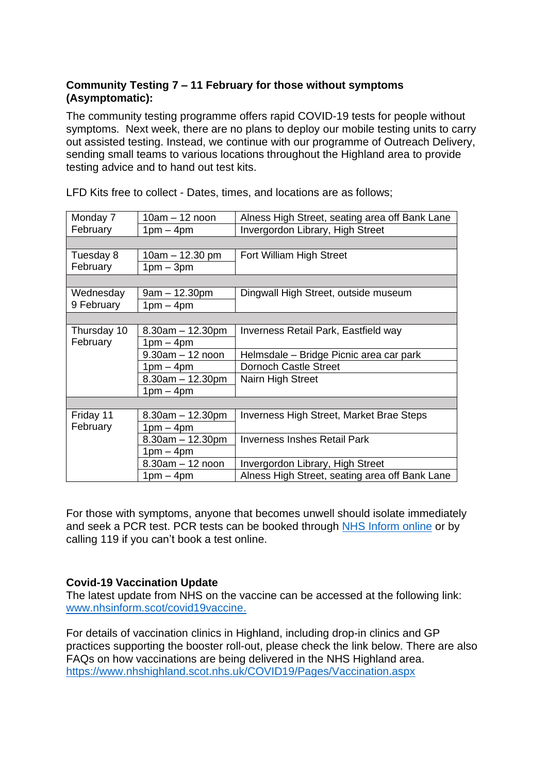# **Community Testing 7 – 11 February for those without symptoms (Asymptomatic):**

The community testing programme offers rapid COVID-19 tests for people without symptoms. Next week, there are no plans to deploy our mobile testing units to carry out assisted testing. Instead, we continue with our programme of Outreach Delivery, sending small teams to various locations throughout the Highland area to provide testing advice and to hand out test kits.

| Monday 7                | $10am - 12 noon$     | Alness High Street, seating area off Bank Lane |
|-------------------------|----------------------|------------------------------------------------|
| February                | $1pm - 4pm$          | Invergordon Library, High Street               |
|                         |                      |                                                |
| Tuesday 8               | $10am - 12.30 pm$    | Fort William High Street                       |
| February                | $1pm - 3pm$          |                                                |
|                         |                      |                                                |
| Wednesday               | $9am - 12.30pm$      | Dingwall High Street, outside museum           |
| 9 February              | $1pm - 4pm$          |                                                |
|                         |                      |                                                |
| Thursday 10<br>February | $8.30am - 12.30pm$   | Inverness Retail Park, Eastfield way           |
|                         | $1pm - 4pm$          |                                                |
|                         | $9.30$ am $-12$ noon | Helmsdale – Bridge Picnic area car park        |
|                         | $1pm - 4pm$          | <b>Dornoch Castle Street</b>                   |
|                         | $8.30am - 12.30pm$   | Nairn High Street                              |
|                         | $1pm - 4pm$          |                                                |
|                         |                      |                                                |
| Friday 11               | $8.30am - 12.30pm$   | Inverness High Street, Market Brae Steps       |
| February                | $1pm - 4pm$          |                                                |
|                         | $8.30am - 12.30pm$   | Inverness Inshes Retail Park                   |
|                         | $1pm - 4pm$          |                                                |
|                         | $8.30am - 12 noon$   | Invergordon Library, High Street               |
|                         | $1pm - 4pm$          | Alness High Street, seating area off Bank Lane |

LFD Kits free to collect - Dates, times, and locations are as follows;

For those with symptoms, anyone that becomes unwell should isolate immediately and seek a PCR test. PCR tests can be booked through NHS [Inform](https://www.nhsinform.scot/illnesses-and-conditions/infections-and-poisoning/coronavirus-covid-19/test-and-protect/coronavirus-covid-19-get-a-test-if-you-have-symptoms) online or by calling 119 if you can't book a test online.

# **Covid-19 Vaccination Update**

The latest update from NHS on the vaccine can be accessed at the following link: [www.nhsinform.scot/covid19vaccine.](http://www.nhsinform.scot/covid19vaccine)

For details of vaccination clinics in Highland, including drop-in clinics and GP practices supporting the booster roll-out, please check the link below. There are also FAQs on how vaccinations are being delivered in the NHS Highland area. <https://www.nhshighland.scot.nhs.uk/COVID19/Pages/Vaccination.aspx>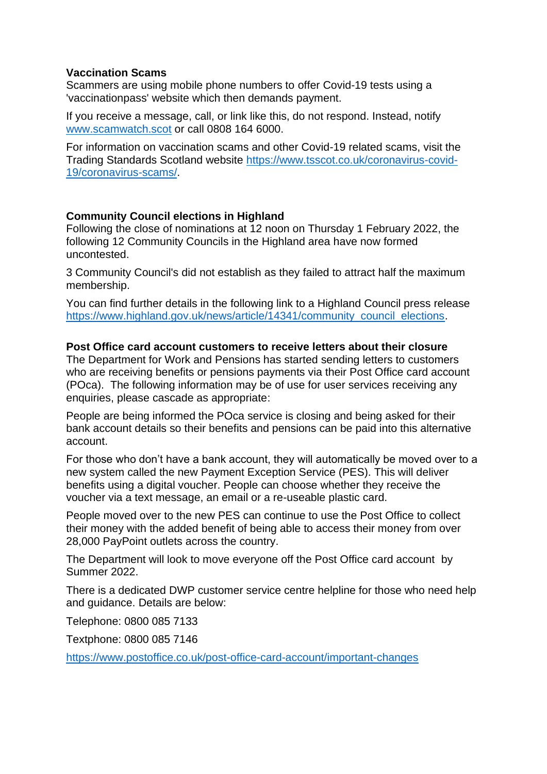#### **Vaccination Scams**

Scammers are using mobile phone numbers to offer Covid-19 tests using a 'vaccinationpass' website which then demands payment.

If you receive a message, call, or link like this, do not respond. Instead, notify [www.scamwatch.scot](https://l.facebook.com/l.php?u=http%3A%2F%2Fwww.scamwatch.scot%2F%3Ffbclid%3DIwAR1CaklQ6iwavFGlp5wGDowoOIQAIkVsr2aHwiu7cGzNoEY_ESeOOyTPex4&h=AT2cl3YgxOodbMWJBxy2LnYguaMttXmC99x_F1OYDn-BVq2Z_ko9mv0LaXAzaBAxVlnp-JCla3gPx5JSO_61K3DsLAcsx0a_eClEc-8WUpVcclYRGyB__0Pf1pe_1jGtPQ&__tn__=-UK-R&c%5b0%5d=AT3JSNQACBoUlAeDvOyI1FQ5CjRUKSKlbEgSC4-XFWORzzDjL7GKJqHUQkylGZ2kgiZGypec69ZGfxWQF2ywRbyopg37e9YxDn0jLUrTVKkMoLj9b_3Uyostyye8do4cQGl_OAqpIXv_FMedmyV2mbbyxHfWSu0IBLzYH6xQ5PTl0-WpCtCw) or call 0808 164 6000.

For information on vaccination scams and other Covid-19 related scams, visit the Trading Standards Scotland website [https://www.tsscot.co.uk/coronavirus-covid-](https://www.tsscot.co.uk/coronavirus-covid-19/coronavirus-scams/)[19/coronavirus-scams/.](https://www.tsscot.co.uk/coronavirus-covid-19/coronavirus-scams/)

#### **Community Council elections in Highland**

Following the close of nominations at 12 noon on Thursday 1 February 2022, the following 12 Community Councils in the Highland area have now formed uncontested.

3 Community Council's did not establish as they failed to attract half the maximum membership.

You can find further details in the following link to a Highland Council press release [https://www.highland.gov.uk/news/article/14341/community\\_council\\_elections.](https://www.highland.gov.uk/news/article/14341/community_council_elections)

#### **Post Office card account customers to receive letters about their closure**

The Department for Work and Pensions has started sending letters to customers who are receiving benefits or pensions payments via their Post Office card account (POca). The following information may be of use for user services receiving any enquiries, please cascade as appropriate:

People are being informed the POca service is closing and being asked for their bank account details so their benefits and pensions can be paid into this alternative account.

For those who don't have a bank account, they will automatically be moved over to a new system called the new Payment Exception Service (PES). This will deliver benefits using a digital voucher. People can choose whether they receive the voucher via a text message, an email or a re-useable plastic card.

People moved over to the new PES can continue to use the Post Office to collect their money with the added benefit of being able to access their money from over 28,000 PayPoint outlets across the country.

The Department will look to move everyone off the Post Office card account by Summer 2022.

There is a dedicated DWP customer service centre helpline for those who need help and guidance. Details are below:

Telephone: 0800 085 7133

Textphone: 0800 085 7146

<https://www.postoffice.co.uk/post-office-card-account/important-changes>